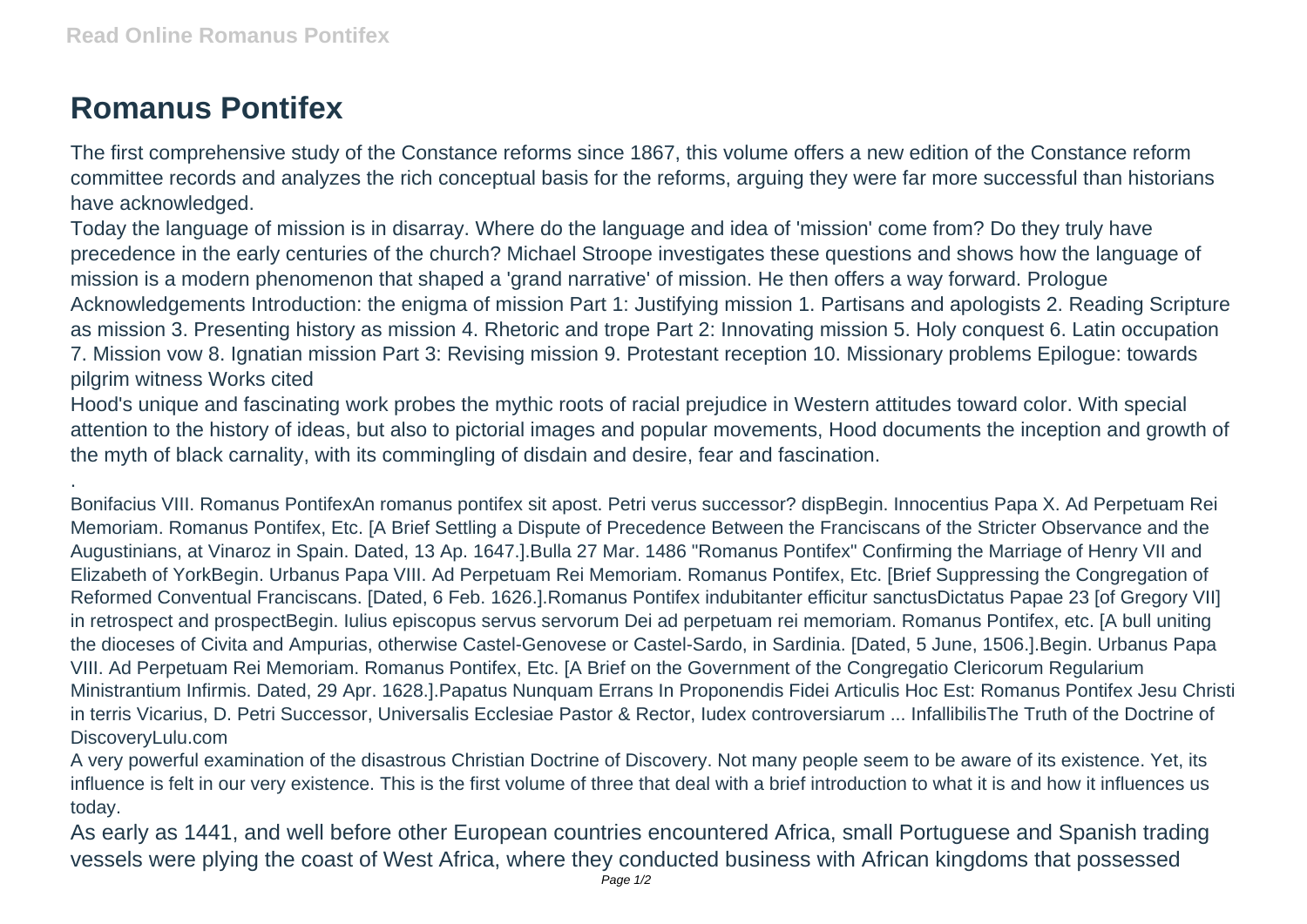## **Romanus Pontifex**

.

The first comprehensive study of the Constance reforms since 1867, this volume offers a new edition of the Constance reform committee records and analyzes the rich conceptual basis for the reforms, arguing they were far more successful than historians have acknowledged.

Today the language of mission is in disarray. Where do the language and idea of 'mission' come from? Do they truly have precedence in the early centuries of the church? Michael Stroope investigates these questions and shows how the language of mission is a modern phenomenon that shaped a 'grand narrative' of mission. He then offers a way forward. Prologue Acknowledgements Introduction: the enigma of mission Part 1: Justifying mission 1. Partisans and apologists 2. Reading Scripture as mission 3. Presenting history as mission 4. Rhetoric and trope Part 2: Innovating mission 5. Holy conquest 6. Latin occupation 7. Mission vow 8. Ignatian mission Part 3: Revising mission 9. Protestant reception 10. Missionary problems Epilogue: towards pilgrim witness Works cited

Hood's unique and fascinating work probes the mythic roots of racial prejudice in Western attitudes toward color. With special attention to the history of ideas, but also to pictorial images and popular movements, Hood documents the inception and growth of the myth of black carnality, with its commingling of disdain and desire, fear and fascination.

Bonifacius VIII. Romanus PontifexAn romanus pontifex sit apost. Petri verus successor? dispBegin. Innocentius Papa X. Ad Perpetuam Rei Memoriam. Romanus Pontifex, Etc. [A Brief Settling a Dispute of Precedence Between the Franciscans of the Stricter Observance and the Augustinians, at Vinaroz in Spain. Dated, 13 Ap. 1647.].Bulla 27 Mar. 1486 "Romanus Pontifex" Confirming the Marriage of Henry VII and Elizabeth of YorkBegin. Urbanus Papa VIII. Ad Perpetuam Rei Memoriam. Romanus Pontifex, Etc. [Brief Suppressing the Congregation of Reformed Conventual Franciscans. [Dated, 6 Feb. 1626.].Romanus Pontifex indubitanter efficitur sanctusDictatus Papae 23 [of Gregory VII] in retrospect and prospectBegin. Iulius episcopus servus servorum Dei ad perpetuam rei memoriam. Romanus Pontifex, etc. [A bull uniting the dioceses of Civita and Ampurias, otherwise Castel-Genovese or Castel-Sardo, in Sardinia. [Dated, 5 June, 1506.].Begin. Urbanus Papa VIII. Ad Perpetuam Rei Memoriam. Romanus Pontifex, Etc. [A Brief on the Government of the Congregatio Clericorum Regularium Ministrantium Infirmis. Dated, 29 Apr. 1628.].Papatus Nunquam Errans In Proponendis Fidei Articulis Hoc Est: Romanus Pontifex Jesu Christi in terris Vicarius, D. Petri Successor, Universalis Ecclesiae Pastor & Rector, Iudex controversiarum ... InfallibilisThe Truth of the Doctrine of DiscoveryLulu.com

A very powerful examination of the disastrous Christian Doctrine of Discovery. Not many people seem to be aware of its existence. Yet, its influence is felt in our very existence. This is the first volume of three that deal with a brief introduction to what it is and how it influences us today.

As early as 1441, and well before other European countries encountered Africa, small Portuguese and Spanish trading vessels were plying the coast of West Africa, where they conducted business with African kingdoms that possessed